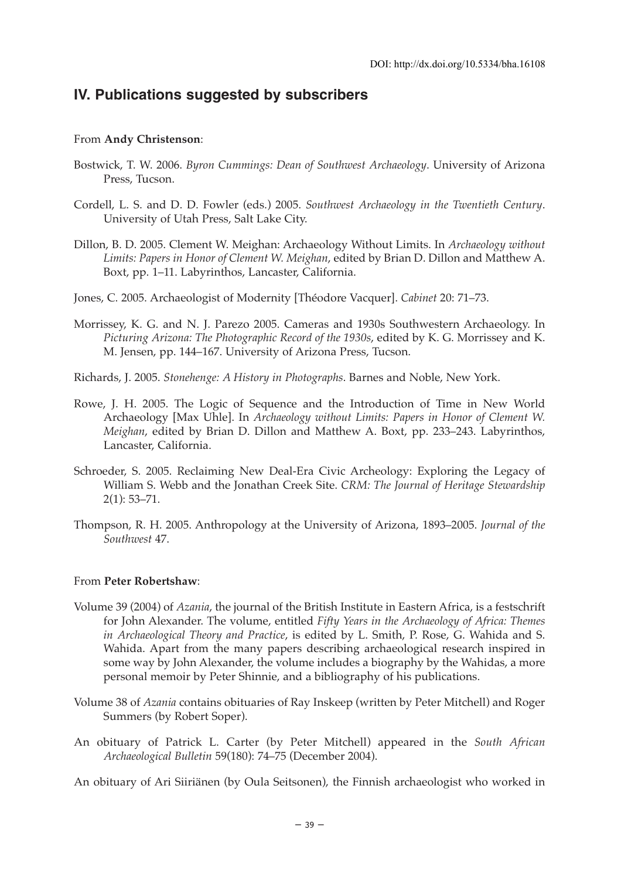# **IV. Publications suggested by subscribers**

### From **Andy Christenson**:

- Bostwick, T. W. 2006. *Byron Cummings: Dean of Southwest Archaeology*. University of Arizona Press, Tucson.
- Cordell, L. S. and D. D. Fowler (eds.) 2005. *Southwest Archaeology in the Twentieth Century*. University of Utah Press, Salt Lake City.
- Dillon, B. D. 2005. Clement W. Meighan: Archaeology Without Limits. In *Archaeology without Limits: Papers in Honor of Clement W. Meighan*, edited by Brian D. Dillon and Matthew A. Boxt, pp. 1–11. Labyrinthos, Lancaster, California.
- Jones, C. 2005. Archaeologist of Modernity [Théodore Vacquer]. *Cabinet* 20: 71–73.
- Morrissey, K. G. and N. J. Parezo 2005. Cameras and 1930s Southwestern Archaeology. In *Picturing Arizona: The Photographic Record of the 1930s*, edited by K. G. Morrissey and K. M. Jensen, pp. 144–167. University of Arizona Press, Tucson.
- Richards, J. 2005. *Stonehenge: A History in Photographs*. Barnes and Noble, New York.
- Rowe, J. H. 2005. The Logic of Sequence and the Introduction of Time in New World Archaeology [Max Uhle]. In *Archaeology without Limits: Papers in Honor of Clement W. Meighan*, edited by Brian D. Dillon and Matthew A. Boxt, pp. 233–243. Labyrinthos, Lancaster, California.
- Schroeder, S. 2005. Reclaiming New Deal-Era Civic Archeology: Exploring the Legacy of William S. Webb and the Jonathan Creek Site. *CRM: The Journal of Heritage Stewardship* 2(1): 53–71.
- Thompson, R. H. 2005. Anthropology at the University of Arizona, 1893–2005. *Journal of the Southwest* 47.

#### From **Peter Robertshaw**:

- Volume 39 (2004) of *Azania*, the journal of the British Institute in Eastern Africa, is a festschrift for John Alexander. The volume, entitled *Fifty Years in the Archaeology of Africa: Themes in Archaeological Theory and Practice*, is edited by L. Smith, P. Rose, G. Wahida and S. Wahida. Apart from the many papers describing archaeological research inspired in some way by John Alexander, the volume includes a biography by the Wahidas, a more personal memoir by Peter Shinnie, and a bibliography of his publications.
- Volume 38 of *Azania* contains obituaries of Ray Inskeep (written by Peter Mitchell) and Roger Summers (by Robert Soper).
- An obituary of Patrick L. Carter (by Peter Mitchell) appeared in the *South African Archaeological Bulletin* 59(180): 74–75 (December 2004).

An obituary of Ari Siiriänen (by Oula Seitsonen), the Finnish archaeologist who worked in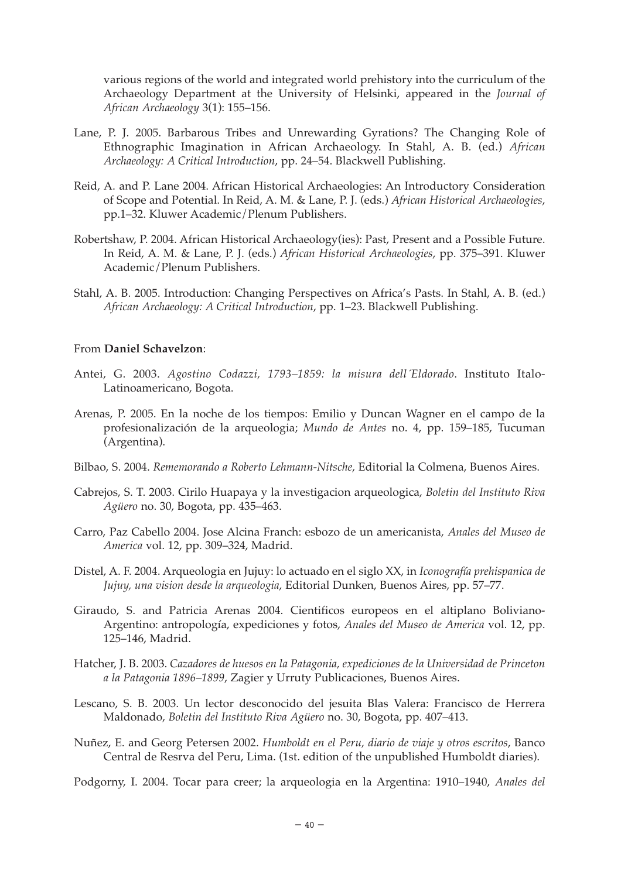various regions of the world and integrated world prehistory into the curriculum of the Archaeology Department at the University of Helsinki, appeared in the *Journal of African Archaeology* 3(1): 155–156.

- Lane, P. J. 2005. Barbarous Tribes and Unrewarding Gyrations? The Changing Role of Ethnographic Imagination in African Archaeology. In Stahl, A. B. (ed.) *African Archaeology: A Critical Introduction*, pp. 24–54. Blackwell Publishing.
- Reid, A. and P. Lane 2004. African Historical Archaeologies: An Introductory Consideration of Scope and Potential. In Reid, A. M. & Lane, P. J. (eds.) *African Historical Archaeologies*, pp.1–32. Kluwer Academic/Plenum Publishers.
- Robertshaw, P. 2004. African Historical Archaeology(ies): Past, Present and a Possible Future. In Reid, A. M. & Lane, P. J. (eds.) *African Historical Archaeologies*, pp. 375–391. Kluwer Academic/Plenum Publishers.
- Stahl, A. B. 2005. Introduction: Changing Perspectives on Africa's Pasts. In Stahl, A. B. (ed.) *African Archaeology: A Critical Introduction*, pp. 1–23. Blackwell Publishing.

#### From **Daniel Schavelzon**:

- Antei, G. 2003. *Agostino Codazzi, 1793–1859: la misura dell´Eldorado*. Instituto Italo-Latinoamericano, Bogota.
- Arenas, P. 2005. En la noche de los tiempos: Emilio y Duncan Wagner en el campo de la profesionalización de la arqueologia; *Mundo de Antes* no. 4, pp. 159–185, Tucuman (Argentina).
- Bilbao, S. 2004. *Rememorando a Roberto Lehmann-Nitsche*, Editorial la Colmena, Buenos Aires.
- Cabrejos, S. T. 2003. Cirilo Huapaya y la investigacion arqueologica, *Boletin del Instituto Riva Agüero* no. 30, Bogota, pp. 435–463.
- Carro, Paz Cabello 2004. Jose Alcina Franch: esbozo de un americanista, *Anales del Museo de America* vol. 12, pp. 309–324, Madrid.
- Distel, A. F. 2004. Arqueologia en Jujuy: lo actuado en el siglo XX, in *Iconografía prehispanica de Jujuy, una vision desde la arqueologia*, Editorial Dunken, Buenos Aires, pp. 57–77.
- Giraudo, S. and Patricia Arenas 2004. Cientificos europeos en el altiplano Boliviano-Argentino: antropología, expediciones y fotos, *Anales del Museo de America* vol. 12, pp. 125–146, Madrid.
- Hatcher, J. B. 2003. *Cazadores de huesos en la Patagonia, expediciones de la Universidad de Princeton a la Patagonia 1896–1899*, Zagier y Urruty Publicaciones, Buenos Aires.
- Lescano, S. B. 2003. Un lector desconocido del jesuita Blas Valera: Francisco de Herrera Maldonado, *Boletin del Instituto Riva Agüero* no. 30, Bogota, pp. 407–413.
- Nuñez, E. and Georg Petersen 2002. *Humboldt en el Peru, diario de viaje y otros escritos*, Banco Central de Resrva del Peru, Lima. (1st. edition of the unpublished Humboldt diaries).
- Podgorny, I. 2004. Tocar para creer; la arqueologia en la Argentina: 1910–1940, *Anales del*